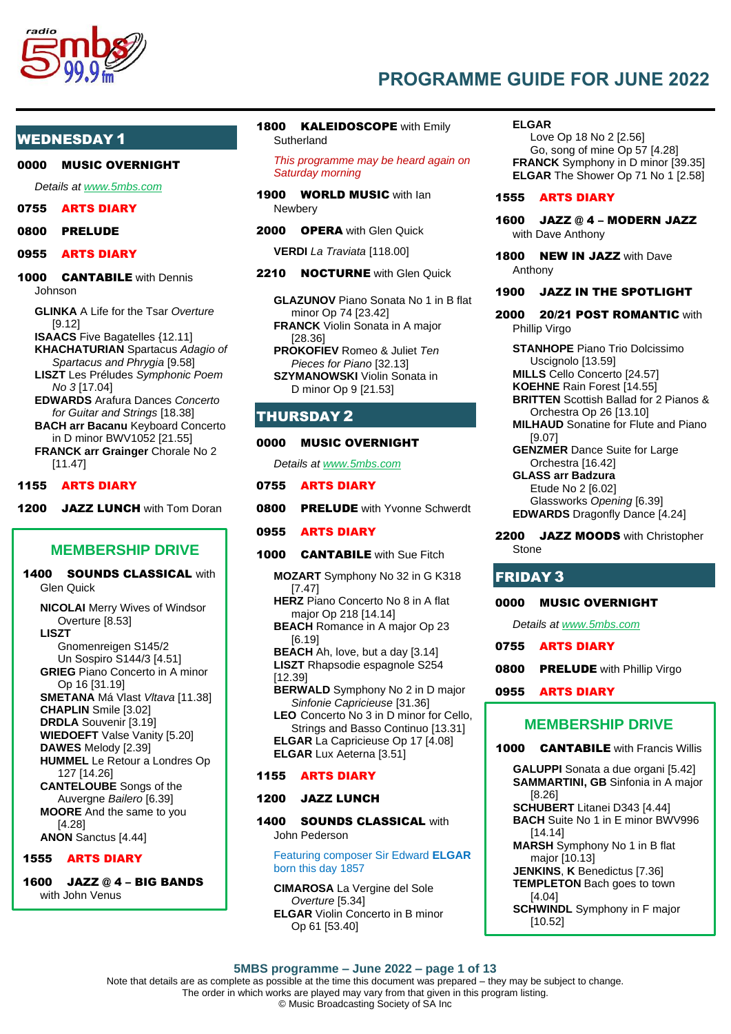

### WEDNESDAY 1

#### 0000 MUSIC OVERNIGHT

*Details at [www.5mbs.com](http://www.5mbs.com/mbs/)*

## 0755 ARTS DIARY

#### 0800 PRELUDE

#### 0955 ARTS DIARY

- **1000 CANTABILE** with Dennis Johnson
	- **GLINKA** A Life for the Tsar *Overture* [9.12]
	- **ISAACS** Five Bagatelles {12.11] **KHACHATURIAN** Spartacus *Adagio of*
	- *Spartacus and Phrygia* [9.58] **LISZT** Les Préludes *Symphonic Poem No 3* [17.04]
	- **EDWARDS** Arafura Dances *Concerto for Guitar and Strings* [18.38]
	- **BACH arr Bacanu** Keyboard Concerto in D minor BWV1052 [21.55] **FRANCK arr Grainger** Chorale No 2

[11.47]

#### 1155 ARTS DIARY

1200 JAZZ LUNCH with Tom Doran

## **MEMBERSHIP DRIVE**

1400 SOUNDS CLASSICAL with Glen Quick **NICOLAI** Merry Wives of Windsor Overture [8.53] **LISZT** Gnomenreigen S145/2 Un Sospiro S144/3 [4.51] **GRIEG** Piano Concerto in A minor Op 16 [31.19] **SMETANA** Má Vlast *Vltava* [11.38] **CHAPLIN** Smile [3.02] **DRDLA** Souvenir [3.19] **WIEDOEFT** Valse Vanity [5.20] **DAWES** Melody [2.39] **HUMMEL** Le Retour a Londres Op 127 [14.26] **CANTELOUBE** Songs of the Auvergne *Bailero* [6.39] **MOORE** And the same to you [4.28] **ANON** Sanctus [4.44]

## 1555 ARTS DIARY

## 1600 JAZZ @ 4 – BIG BANDS with John Venus

1800 **KALEIDOSCOPE** with Emily

**Sutherland** 

*This programme may be heard again on Saturday morning*

- 1900 **WORLD MUSIC** with lan Newbery
- 2000 OPERA with Glen Quick

**VERDI** *La Traviata* [118.00]

- 2210 **NOCTURNE** with Glen Quick
	- **GLAZUNOV** Piano Sonata No 1 in B flat minor Op 74 [23.42] **FRANCK** Violin Sonata in A major
	- [28.36] **PROKOFIEV** Romeo & Juliet *Ten Pieces for Piano* [32.13]
	- **SZYMANOWSKI** Violin Sonata in D minor Op 9 [21.53]

## THURSDAY 2

#### 0000 MUSIC OVERNIGHT

*Details at [www.5mbs.com](http://www.5mbs.com/mbs/)*

#### 0755 ARTS DIARY

**0800 PRELUDE** with Yvonne Schwerdt

#### 0955 ARTS DIARY

- **1000 CANTABILE** with Sue Fitch
	- **MOZART** Symphony No 32 in G K318 [7.47]
	- **HERZ** Piano Concerto No 8 in A flat major Op 218 [14.14]
	- **BEACH** Romance in A major Op 23 [6.19] **BEACH** Ah, love, but a day [3.14]
	- **LISZT** Rhapsodie espagnole S254
	- [12.39]
	- **BERWALD** Symphony No 2 in D major *Sinfonie Capricieuse* [31.36]
	- **LEO** Concerto No 3 in D minor for Cello, Strings and Basso Continuo [13.31] **ELGAR** La Capricieuse Op 17 [4.08] **ELGAR** Lux Aeterna [3.51]

### 1155 ARTS DIARY

#### 1200 JAZZ LUNCH

#### 1400 SOUNDS CLASSICAL with John Pederson

#### Featuring composer Sir Edward **ELGAR** born this day 1857

**CIMAROSA** La Vergine del Sole *Overture* [5.34] **ELGAR** Violin Concerto in B minor Op 61 [53.40]

#### **ELGAR**

Love Op 18 No 2 [2.56] Go, song of mine Op 57 [4.28] **FRANCK** Symphony in D minor [39.35] **ELGAR** The Shower Op 71 No 1 [2.58]

#### 1555 ARTS DIARY

- 1600 JAZZ @ 4 MODERN JAZZ with Dave Anthony
- 1800 NEW IN JAZZ with Dave Anthony

#### 1900 JAZZ IN THE SPOTLIGHT

- 2000 20/21 POST ROMANTIC with Phillip Virgo
	- **STANHOPE** Piano Trio Dolcissimo Uscignolo [13.59] **MILLS** Cello Concerto [24.57] **KOEHNE** Rain Forest [14.55] **BRITTEN** Scottish Ballad for 2 Pianos & Orchestra Op 26 [13.10] **MILHAUD** Sonatine for Flute and Piano [9.07] **GENZMER** Dance Suite for Large Orchestra [16.42] **GLASS arr Badzura**  Etude No 2 [6.02] Glassworks *Opening* [6.39] **EDWARDS** Dragonfly Dance [4.24]

#### 2200 JAZZ MOODS with Christopher Stone

### FRIDAY 3

#### 0000 MUSIC OVERNIGHT

*Details a[t www.5mbs.com](http://www.5mbs.com/mbs/)*

0755 ARTS DIARY **0800 PRELUDE** with Phillip Virgo 0955 ARTS DIARY

## **MEMBERSHIP DRIVE**

1000 CANTABILE with Francis Willis

**GALUPPI** Sonata a due organi [5.42] **SAMMARTINI, GB** Sinfonia in A major [8.26] **SCHUBERT** Litanei D343 [4.44] **BACH** Suite No 1 in E minor BWV996 [14.14] **MARSH** Symphony No 1 in B flat major [10.13] **JENKINS**, **K** Benedictus [7.36] **TEMPLETON** Bach goes to town [4.04] **SCHWINDL** Symphony in F major [10.52]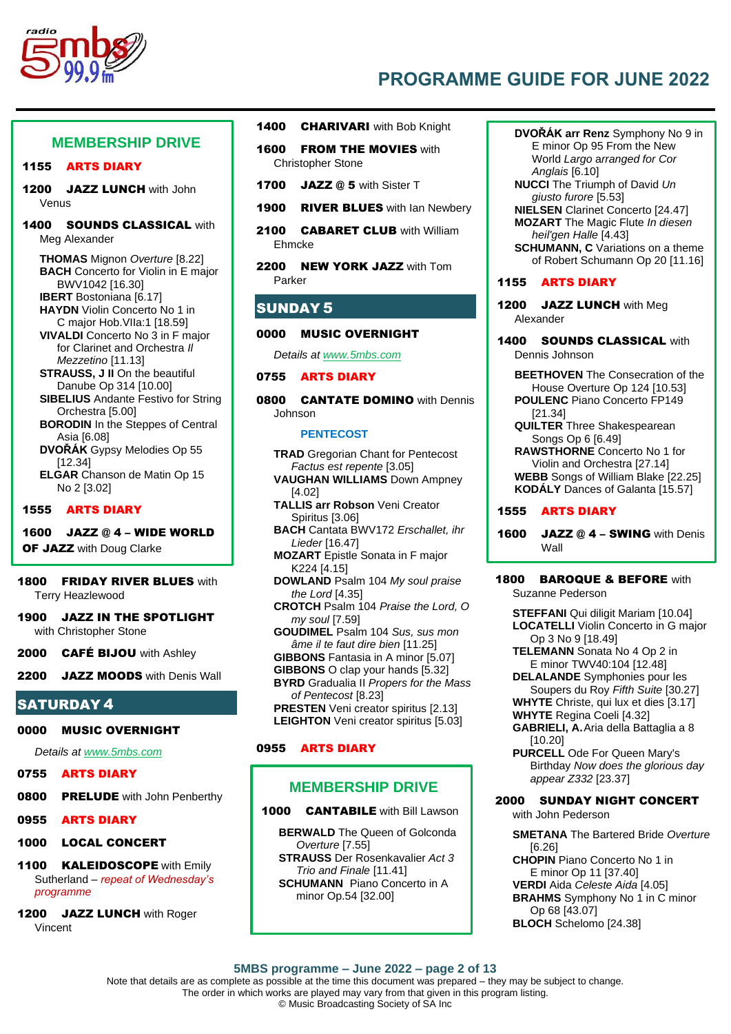

## **MEMBERSHIP DRIVE**

#### 1155 ARTS DIARY

- 1200 JAZZ LUNCH with John Venus
- 1400 SOUNDS CLASSICAL with Meg Alexander
	- **THOMAS** Mignon *Overture* [8.22] **BACH** Concerto for Violin in E major BWV1042 [16.30] **IBERT** Bostoniana [6.17] **HAYDN** Violin Concerto No 1 in C major Hob.VIIa:1 [18.59] **VIVALDI** Concerto No 3 in F major for Clarinet and Orchestra *Il Mezzetino* [11.13] **STRAUSS, J II** On the beautiful Danube Op 314 [10.00] **SIBELIUS** Andante Festivo for String Orchestra [5.00] **BORODIN** In the Steppes of Central Asia [6.08] **DVOŘÁK** Gypsy Melodies Op 55 [12.34] **ELGAR** Chanson de Matin Op 15 No 2 [3.02]

#### 1555 ARTS DIARY

1600 JAZZ @ 4 – WIDE WORLD

**OF JAZZ** with Doug Clarke

- 1800 FRIDAY RIVER BLUES with Terry Heazlewood
- 1900 JAZZ IN THE SPOTLIGHT with Christopher Stone

2000 CAFÉ BIJOU with Ashley

2200 JAZZ MOODS with Denis Wall

## SATURDAY 4

#### 0000 MUSIC OVERNIGHT

*Details at [www.5mbs.com](http://www.5mbs.com/mbs/)*

## 0755 ARTS DIARY

- **0800 PRELUDE** with John Penberthy
- 0955 ARTS DIARY
- 1000 LOCAL CONCERT
- 1100 **KALEIDOSCOPE** with Emily Sutherland – *repeat of Wednesday's programme*
- 1200 JAZZ LUNCH with Roger Vincent
- 1400 **CHARIVARI** with Bob Knight
- **1600 FROM THE MOVIES with** Christopher Stone
- 1700 JAZZ @ 5 with Sister T
- 1900 RIVER BLUES with Ian Newbery
- 2100 **CABARET CLUB** with William Ehmcke
- 2200 NEW YORK JAZZ with Tom Parker

## SUNDAY 5

#### 0000 MUSIC OVERNIGHT

*Details at [www.5mbs.com](http://www.5mbs.com/mbs/)*

#### 0755 ARTS DIARY

**0800 CANTATE DOMINO** with Dennis Johnson

#### **PENTECOST**

- **TRAD** Gregorian Chant for Pentecost *Factus est repente* [3.05]
- **VAUGHAN WILLIAMS** Down Ampney [4.02]
- **TALLIS arr Robson** Veni Creator Spiritus [3.06]
- **BACH** Cantata BWV172 *Erschallet, ihr Lieder* [16.47]
- **MOZART** Epistle Sonata in F major K224 [4.15]
- **DOWLAND** Psalm 104 *My soul praise the Lord* [4.35]
- **CROTCH** Psalm 104 *Praise the Lord, O my soul* [7.59]
- **GOUDIMEL** Psalm 104 *Sus, sus mon*
- *âme il te faut dire bien* [11.25]
- **GIBBONS** Fantasia in A minor [5.07] **GIBBONS** O clap your hands [5.32]
- **BYRD** Gradualia II *Propers for the Mass of Pentecost* [8.23]

**PRESTEN** Veni creator spiritus [2.13] **LEIGHTON** Veni creator spiritus [5.03]

### 0955 ARTS DIARY

## **MEMBERSHIP DRIVE**

#### **1000 CANTABILE** with Bill Lawson

**BERWALD** The Queen of Golconda *Overture* [7.55] **STRAUSS** Der Rosenkavalier *Act 3 Trio and Finale* [11.41] **SCHUMANN** Piano Concerto in A minor Op.54 [32.00]

- **DVOŘÁK arr Renz** Symphony No 9 in E minor Op 95 From the New World *Largo* a*rranged for Cor Anglais* [6.10] **NUCCI** The Triumph of David *Un giusto furore* [5.53] **NIELSEN** Clarinet Concerto [24.47] **MOZART** The Magic Flute *In diesen heil'gen Halle* [4.43]
- **SCHUMANN, C** Variations on a theme of Robert Schumann Op 20 [11.16]

#### 1155 ARTS DIARY

1200 JAZZ LUNCH with Meg Alexander

1400 SOUNDS CLASSICAL with Dennis Johnson

**BEETHOVEN** The Consecration of the House Overture Op 124 [10.53] **POULENC** Piano Concerto FP149 [21.34] **QUILTER** Three Shakespearean Songs Op 6 [6.49] **RAWSTHORNE** Concerto No 1 for Violin and Orchestra [27.14] **WEBB** Songs of William Blake [22.25] **KODÁLY** Dances of Galanta [15.57]

#### 1555 ARTS DIARY

1600 JAZZ @ 4 - SWING with Denis Wall

## 1800 BAROQUE & BEFORE with

Suzanne Pederson

**STEFFANI** Qui diligit Mariam [10.04] **LOCATELLI** Violin Concerto in G major Op 3 No 9 [18.49]

- **TELEMANN** Sonata No 4 Op 2 in E minor TWV40:104 [12.48]
- **DELALANDE** Symphonies pour les
- Soupers du Roy *Fifth Suite* [30.27]
- **WHYTE** Christe, qui lux et dies [3.17] **WHYTE** Regina Coeli [4.32]
- **GABRIELI, A.**Aria della Battaglia a 8
- [10.20] **PURCELL** Ode For Queen Mary's

Birthday *Now does the glorious day appear Z332* [23.37]

#### 2000 SUNDAY NIGHT CONCERT with John Pederson

**SMETANA** The Bartered Bride *Overture* [6.26] **CHOPIN** Piano Concerto No 1 in E minor Op 11 [37.40]

**VERDI** Aida *Celeste Aida* [4.05] **BRAHMS** Symphony No 1 in C minor Op 68 [43.07] **BLOCH** Schelomo [24.38]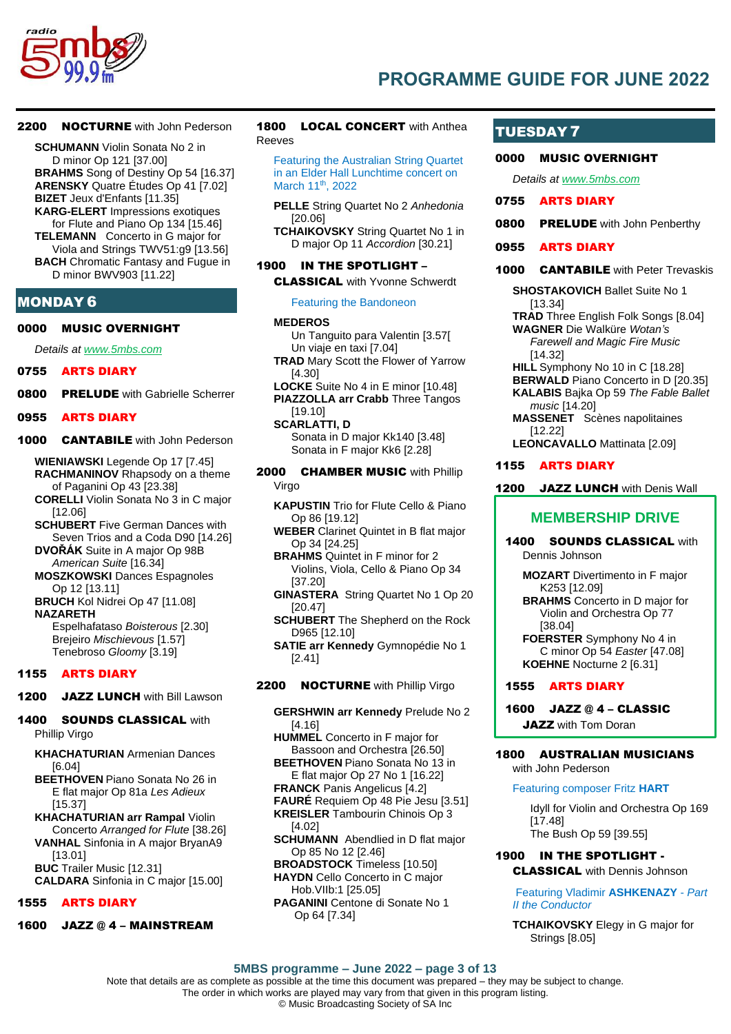

### 2200 NOCTURNE with John Pederson

**SCHUMANN** Violin Sonata No 2 in D minor Op 121 [37.00] **BRAHMS** Song of Destiny Op 54 [16.37] **ARENSKY** Quatre Études Op 41 [7.02] **BIZET** Jeux d'Enfants [11.35] **KARG-ELERT** Impressions exotiques

for Flute and Piano Op 134 [15.46] **TELEMANN** Concerto in G major for Viola and Strings TWV51:g9 [13.56]

**BACH** Chromatic Fantasy and Fugue in D minor BWV903 [11.22]

#### MONDAY 6

#### 0000 MUSIC OVERNIGHT

*Details at [www.5mbs.com](http://www.5mbs.com/mbs/)*

#### 0755 ARTS DIARY

**0800 PRELUDE** with Gabrielle Scherrer

#### 0955 ARTS DIARY

1000 CANTABILE with John Pederson

**WIENIAWSKI** Legende Op 17 [7.45] **RACHMANINOV** Rhapsody on a theme of Paganini Op 43 [23.38]

- **CORELLI** Violin Sonata No 3 in C major [12.06]
- **SCHUBERT** Five German Dances with Seven Trios and a Coda D90 [14.26]

**DVOŘÁK** Suite in A major Op 98B *American Suite* [16.34]

- **MOSZKOWSKI** Dances Espagnoles Op 12 [13.11]
- **BRUCH** Kol Nidrei Op 47 [11.08] **NAZARETH**

Espelhafataso *Boisterous* [2.30] Brejeiro *Mischievous* [1.57]

Tenebroso *Gloomy* [3.19] 1155 ARTS DIARY

1200 JAZZ LUNCH with Bill Lawson

#### 1400 SOUNDS CLASSICAL with Phillip Virgo

- **KHACHATURIAN** Armenian Dances [6.04]
- **BEETHOVEN** Piano Sonata No 26 in E flat major Op 81a *Les Adieux* [15.37]
- **KHACHATURIAN arr Rampal** Violin Concerto *Arranged for Flute* [38.26] **VANHAL** Sinfonia in A major BryanA9 [13.01]
- **BUC** Trailer Music [12.31] **CALDARA** Sinfonia in C major [15.00]

### 1555 ARTS DIARY

## 1600 JAZZ @ 4 – MAINSTREAM

#### 1800 LOCAL CONCERT with Anthea Reeves

Featuring the Australian String Quartet in an Elder Hall Lunchtime concert on March 11<sup>th</sup>, 2022

**PELLE** String Quartet No 2 *Anhedonia* [20.06]

**TCHAIKOVSKY** String Quartet No 1 in D major Op 11 *Accordion* [30.21]

## 1900 IN THE SPOTLIGHT –

CLASSICAL with Yvonne Schwerdt

#### Featuring the Bandoneon

#### **MEDEROS**

Un Tanguito para Valentin [3.57[ Un viaje en taxi [7.04]

**TRAD** Mary Scott the Flower of Yarrow [4.30]

**LOCKE** Suite No 4 in E minor [10.48] **PIAZZOLLA arr Crabb** Three Tangos [19.10]

**SCARLATTI, D** 

Sonata in D major Kk140 [3.48] Sonata in F major Kk6 [2.28]

**2000 CHAMBER MUSIC with Phillip** Virgo

**KAPUSTIN** Trio for Flute Cello & Piano Op 86 [19.12]

**WEBER** Clarinet Quintet in B flat major Op 34 [24.25]

**BRAHMS** Quintet in F minor for 2 Violins, Viola, Cello & Piano Op 34 [37.20]

- **GINASTERA** String Quartet No 1 Op 20 [20.47]
- **SCHUBERT** The Shepherd on the Rock D965 [12.10]

**SATIE arr Kennedy** Gymnopédie No 1 [2.41]

#### 2200 NOCTURNE with Phillip Virgo

- **GERSHWIN arr Kennedy** Prelude No 2 [4.16]
- **HUMMEL** Concerto in F major for Bassoon and Orchestra [26.50]
- **BEETHOVEN** Piano Sonata No 13 in E flat major Op 27 No 1 [16.22]
- **FRANCK** Panis Angelicus [4.2]
- **FAURÉ** Requiem Op 48 Pie Jesu [3.51] **KREISLER** Tambourin Chinois Op 3
- [4.02]

**SCHUMANN** Abendlied in D flat major Op 85 No 12 [2.46]

- **BROADSTOCK** Timeless [10.50] **HAYDN** Cello Concerto in C major Hob.VIIb:1 [25.05]
- **PAGANINI** Centone di Sonate No 1 Op 64 [7.34]

## TUESDAY 7

#### 0000 MUSIC OVERNIGHT

*Details a[t www.5mbs.com](http://www.5mbs.com/mbs/)*

- 0755 ARTS DIARY
- **0800 PRELUDE** with John Penberthy
- 0955 ARTS DIARY
- **1000 CANTABILE** with Peter Trevaskis
	- **SHOSTAKOVICH** Ballet Suite No 1 [13.34]
	- **TRAD** Three English Folk Songs [8.04] **WAGNER** Die Walküre *Wotan's Farewell and Magic Fire Music*
	- [14.32]
	- **HILL** Symphony No 10 in C [18.28]
	- **BERWALD** Piano Concerto in D [20.35] **KALABIS** Bajka Op 59 *The Fable Ballet music* [14.20]
	- **MASSENET** Scènes napolitaines [12.22]
	- **LEONCAVALLO** Mattinata [2.09]

#### 1155 ARTS DIARY

#### 1200 JAZZ LUNCH with Denis Wall

## **MEMBERSHIP DRIVE**

1400 SOUNDS CLASSICAL with Dennis Johnson

- **MOZART** Divertimento in F major K253 [12.09]
- **BRAHMS** Concerto in D major for Violin and Orchestra Op 77 [38.04]

**FOERSTER** Symphony No 4 in C minor Op 54 *Easter* [47.08] **KOEHNE** Nocturne 2 [6.31]

#### 1555 ARTS DIARY

1600 JAZZ @ 4 – CLASSIC JAZZ with Tom Doran

## 1800 AUSTRALIAN MUSICIANS

with John Pederson

## Featuring composer Fritz **HART**

Idyll for Violin and Orchestra Op 169 [17.48] The Bush Op 59 [39.55]

## 1900 IN THE SPOTLIGHT -

CLASSICAL with Dennis Johnson

Featuring Vladimir **ASHKENAZY** - *Part II the Conductor*

**TCHAIKOVSKY** Elegy in G major for Strings [8.05]

#### **5MBS programme – June 2022 – page 3 of 13**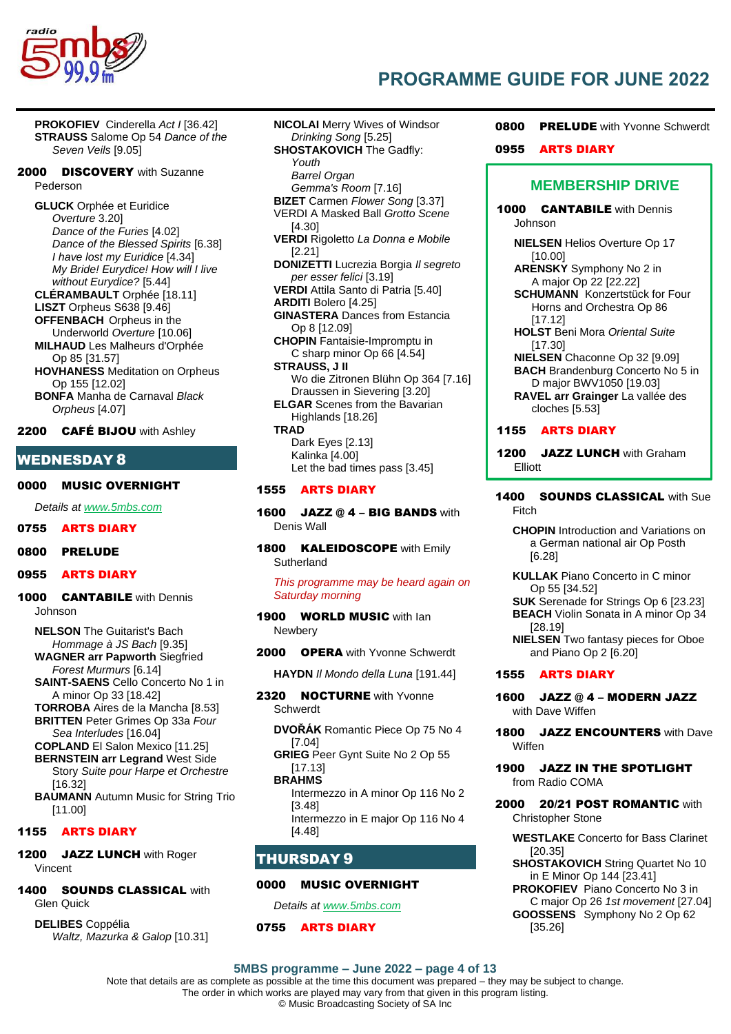

**PROKOFIEV** Cinderella *Act I* [36.42] **STRAUSS** Salome Op 54 *Dance of the* 

## 2000 **DISCOVERY** with Suzanne Pederson

*Seven Veils* [9.05]

**GLUCK** Orphée et Euridice *Overture* 3.20] *Dance of the Furies* [4.02] *Dance of the Blessed Spirits* [6.38] *I have lost my Euridice* [4.34] *My Bride! Eurydice! How will I live without Eurydice?* [5.44] **CLÉRAMBAULT** Orphée [18.11] **LISZT** Orpheus S638 [9.46] **OFFENBACH** Orpheus in the Underworld *Overture* [10.06] **MILHAUD** Les Malheurs d'Orphée Op 85 [31.57] **HOVHANESS** Meditation on Orpheus Op 155 [12.02] **BONFA** Manha de Carnaval *Black Orpheus* [4.07]

2200 CAFÉ BIJOU with Ashley

## WEDNESDAY 8

#### 0000 MUSIC OVERNIGHT

*Details at [www.5mbs.com](http://www.5mbs.com/mbs/)*

#### 0755 ARTS DIARY

0800 PRELUDE

#### 0955 ARTS DIARY

**1000 CANTABILE** with Dennis Johnson

**NELSON** The Guitarist's Bach *Hommage à JS Bach* [9.35]

- **WAGNER arr Papworth** Siegfried *Forest Murmurs* [6.14]
- **SAINT-SAENS** Cello Concerto No 1 in A minor Op 33 [18.42] **TORROBA** Aires de la Mancha [8.53]

**BRITTEN** Peter Grimes Op 33a *Four Sea Interludes* [16.04]

**COPLAND** El Salon Mexico [11.25] **BERNSTEIN arr Legrand** West Side

Story *Suite pour Harpe et Orchestre* [16.32]

**BAUMANN** Autumn Music for String Trio [11.00]

## 1155 ARTS DIARY

- 1200 JAZZ LUNCH with Roger Vincent
- **1400 SOUNDS CLASSICAL with** Glen Quick

**DELIBES** Coppélia *Waltz, Mazurka & Galop* [10.31] **NICOLAI** Merry Wives of Windsor *Drinking Song* [5.25] **SHOSTAKOVICH** The Gadfly: *Youth Barrel Organ Gemma's Room* [7.16] **BIZET** Carmen *Flower Song* [3.37] VERDI A Masked Ball *Grotto Scene* [4.30] **VERDI** Rigoletto *La Donna e Mobile* [2.21] **DONIZETTI** Lucrezia Borgia *Il segreto per esser felici* [3.19] **VERDI** Attila Santo di Patria [5.40] **ARDITI** Bolero [4.25] **GINASTERA** Dances from Estancia Op 8 [12.09] **CHOPIN** Fantaisie-Impromptu in C sharp minor Op 66 [4.54] **STRAUSS, J II** Wo die Zitronen Blühn Op 364 [7.16] Draussen in Sievering [3.20] **ELGAR** Scenes from the Bavarian Highlands [18.26] **TRAD** Dark Eyes [2.13] Kalinka [4.00] Let the bad times pass [3.45]

#### 1555 ARTS DIARY

1600 JAZZ @ 4 - BIG BANDS with Denis Wall

1800 **KALEIDOSCOPE** with Emily **Sutherland** 

*This programme may be heard again on Saturday morning*

- 1900 **WORLD MUSIC** with lan Newbery
- 2000 OPERA with Yvonne Schwerdt

**HAYDN** *Il Mondo della Luna* [191.44]

- 2320 **NOCTURNE** with Yvonne **Schwerdt** 
	- **DVOŘÁK** Romantic Piece Op 75 No 4 [7.04]

**GRIEG** Peer Gynt Suite No 2 Op 55 [17.13]

**BRAHMS** Intermezzo in A minor Op 116 No 2 [3.48]

Intermezzo in E major Op 116 No 4 [4.48]

## THURSDAY 9

### 0000 MUSIC OVERNIGHT

*Details at [www.5mbs.com](http://www.5mbs.com/mbs/)*

#### 0755 ARTS DIARY

**0800 PRELUDE** with Yvonne Schwerdt

#### 0955 ARTS DIARY

**PROGRAMME GUIDE FOR JUNE 2022**

## **MEMBERSHIP DRIVE**

**1000 CANTABILE** with Dennis **Johnson** 

**NIELSEN** Helios Overture Op 17 [10.00]

- **ARENSKY** Symphony No 2 in A major Op 22 [22.22]
- **SCHUMANN** Konzertstück for Four Horns and Orchestra Op 86 [17.12]
- **HOLST** Beni Mora *Oriental Suite* [17.30]
- **NIELSEN** Chaconne Op 32 [9.09]
- **BACH** Brandenburg Concerto No 5 in D major BWV1050 [19.03] **RAVEL arr Grainger** La vallée des
- cloches [5.53]
- 1155 ARTS DIARY

1200 JAZZ LUNCH with Graham Elliott

#### 1400 SOUNDS CLASSICAL with Sue Fitch

- **CHOPIN** Introduction and Variations on a German national air Op Posth [6.28]
- **KULLAK** Piano Concerto in C minor Op 55 [34.52]
- **SUK** Serenade for Strings Op 6 [23.23] **BEACH** Violin Sonata in A minor Op 34 [28.19]

**NIELSEN** Two fantasy pieces for Oboe and Piano Op 2 [6.20]

#### 1555 ARTS DIARY

1600 JAZZ @ 4 – MODERN JAZZ with Dave Wiffen

1800 JAZZ ENCOUNTERS with Dave Wiffen

#### 1900 JAZZ IN THE SPOTLIGHT from Radio COMA

2000 20/21 POST ROMANTIC with Christopher Stone

**WESTLAKE** Concerto for Bass Clarinet [20.35]

**SHOSTAKOVICH** String Quartet No 10 in E Minor Op 144 [23.41]

**PROKOFIEV** Piano Concerto No 3 in C major Op 26 *1st movement* [27.04] **GOOSSENS** Symphony No 2 Op 62 [35.26]

### **5MBS programme – June 2022 – page 4 of 13**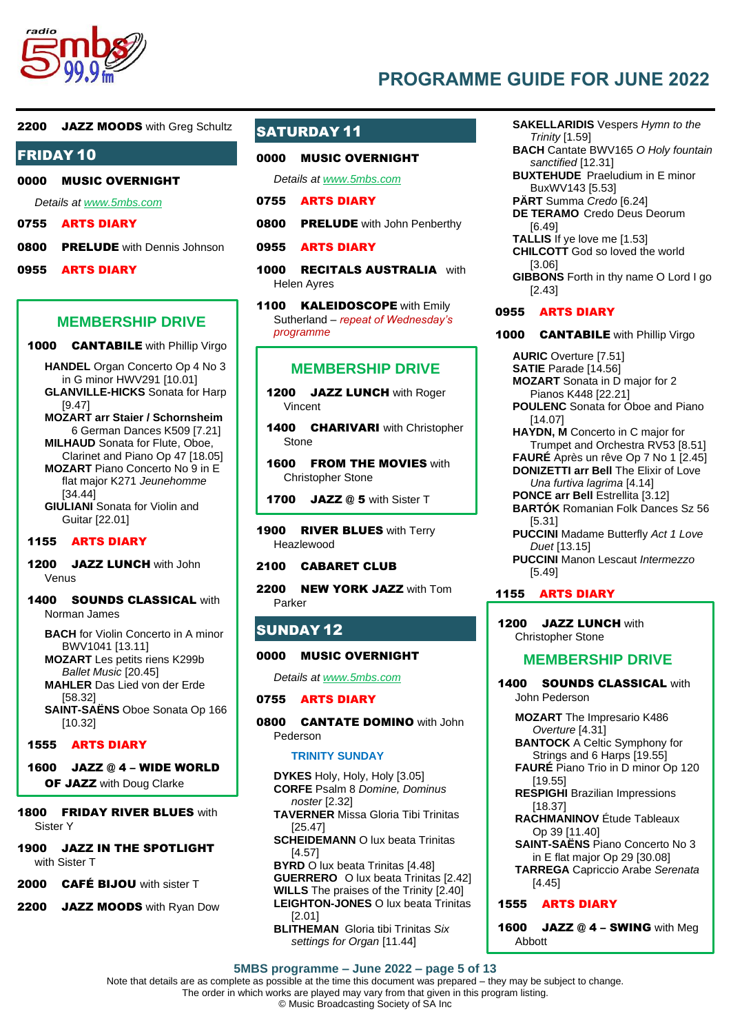

### 2200 JAZZ MOODS with Greg Schultz

## FRIDAY 10

#### 0000 MUSIC OVERNIGHT

*Details at [www.5mbs.com](http://www.5mbs.com/mbs/)*

- 0755 ARTS DIARY
- **0800 PRELUDE** with Dennis Johnson

#### 0955 ARTS DIARY

## **MEMBERSHIP DRIVE**

- 1000 **CANTABILE** with Phillip Virgo
	- **HANDEL** Organ Concerto Op 4 No 3 in G minor HWV291 [10.01] **GLANVILLE-HICKS** Sonata for Harp
	- [9.47] **MOZART arr Staier / Schornsheim** 6 German Dances K509 [7.21] **MILHAUD** Sonata for Flute, Oboe, Clarinet and Piano Op 47 [18.05] **MOZART** Piano Concerto No 9 in E flat major K271 *Jeunehomme* [34.44] **GIULIANI** Sonata for Violin and Guitar [22.01]

#### 1155 ARTS DIARY

- 1200 JAZZ LUNCH with John Venus
- 1400 SOUNDS CLASSICAL with Norman James
	- **BACH** for Violin Concerto in A minor BWV1041 [13.11] **MOZART** Les petits riens K299b *Ballet Music* [20.45] **MAHLER** Das Lied von der Erde [58.32] **SAINT-SAËNS** Oboe Sonata Op 166 [10.32]

## 1555 ARTS DIARY

1600 JAZZ @ 4 – WIDE WORLD **OF JAZZ** with Doug Clarke

#### **1800 FRIDAY RIVER BLUES with** Sister Y

- 1900 JAZZ IN THE SPOTLIGHT with Sister T
- 2000 CAFÉ BIJOU with sister T
- 2200 JAZZ MOODS with Ryan Dow

## SATURDAY 11

#### 0000 MUSIC OVERNIGHT

*Details at [www.5mbs.com](http://www.5mbs.com/mbs/)*

- 0755 ARTS DIARY
- **0800 PRELUDE** with John Penberthy

#### 0955 ARTS DIARY

- **1000 RECITALS AUSTRALIA with** Helen Ayres
- 1100 **KALEIDOSCOPE** with Emily Sutherland – *repeat of Wednesday's programme*

## **MEMBERSHIP DRIVE**

- 1200 JAZZ LUNCH with Roger Vincent
- 1400 **CHARIVARI** with Christopher Stone
- **1600 FROM THE MOVIES with** Christopher Stone

1700 JAZZ @ 5 with Sister T

1900 RIVER BLUES with Terry Heazlewood

### 2100 CABARET CLUB

2200 NEW YORK JAZZ with Tom Parker

## SUNDAY 12

#### 0000 MUSIC OVERNIGHT

*Details at [www.5mbs.com](http://www.5mbs.com/mbs/)*

#### 0755 ARTS DIARY

**0800 CANTATE DOMINO** with John Pederson

#### **TRINITY SUNDAY**

- **DYKES** Holy, Holy, Holy [3.05] **CORFE** Psalm 8 *Domine, Dominus noster* [2.32]
- **TAVERNER** Missa Gloria Tibi Trinitas [25.47]
- **SCHEIDEMANN** O lux beata Trinitas [4.57]
- **BYRD** O lux beata Trinitas [4.48] **GUERRERO** O lux beata Trinitas [2.42]
- **WILLS** The praises of the Trinity [2.40]
- **LEIGHTON-JONES** O lux beata Trinitas [2.01]
- **BLITHEMAN** Gloria tibi Trinitas *Six settings for Organ* [11.44]

**SAKELLARIDIS** Vespers *Hymn to the Trinity* [1.59] **BACH** Cantate BWV165 *O Holy fountain sanctified* [12.31] **BUXTEHUDE** Praeludium in E minor BuxWV143 [5.53] **PÄRT** Summa *Credo* [6.24] **DE TERAMO** Credo Deus Deorum [6.49] **TALLIS** If ye love me [1.53] **CHILCOTT** God so loved the world [3.06] **GIBBONS** Forth in thy name O Lord I go [2.43]

#### 0955 ARTS DIARY

#### **1000 CANTABILE** with Phillip Virgo

**AURIC** Overture [7.51] **SATIE** Parade [14.56] **MOZART** Sonata in D major for 2 Pianos K448 [22.21] **POULENC** Sonata for Oboe and Piano [14.07] **HAYDN, M** Concerto in C major for Trumpet and Orchestra RV53 [8.51] **FAURÉ** Après un rêve Op 7 No 1 [2.45] **DONIZETTI arr Bell** The Elixir of Love *Una furtiva lagrima* [4.14] **PONCE arr Bell** Estrellita [3.12] **BARTÓK** Romanian Folk Dances Sz 56 [5.31] **PUCCINI** Madame Butterfly *Act 1 Love Duet* [13.15] **PUCCINI** Manon Lescaut *Intermezzo* [5.49]

#### 1155 ARTS DIARY

1200 JAZZ LUNCH with Christopher Stone

## **MEMBERSHIP DRIVE**

- 1400 SOUNDS CLASSICAL with John Pederson
	- **MOZART** The Impresario K486 *Overture* [4.31]
	- **BANTOCK** A Celtic Symphony for Strings and 6 Harps [19.55]
	- **FAURÉ** Piano Trio in D minor Op 120 [19.55]
	- **RESPIGHI** Brazilian Impressions [18.37]
	- **RACHMANINOV** Étude Tableaux Op 39 [11.40]
	- **SAINT-SAËNS** Piano Concerto No 3 in E flat major Op 29 [30.08] **TARREGA** Capriccio Arabe *Serenata* [4.45]

#### 1555 ARTS DIARY

**1600 JAZZ**  $@$  **4 – SWING** with Meg Abbott

#### **5MBS programme – June 2022 – page 5 of 13**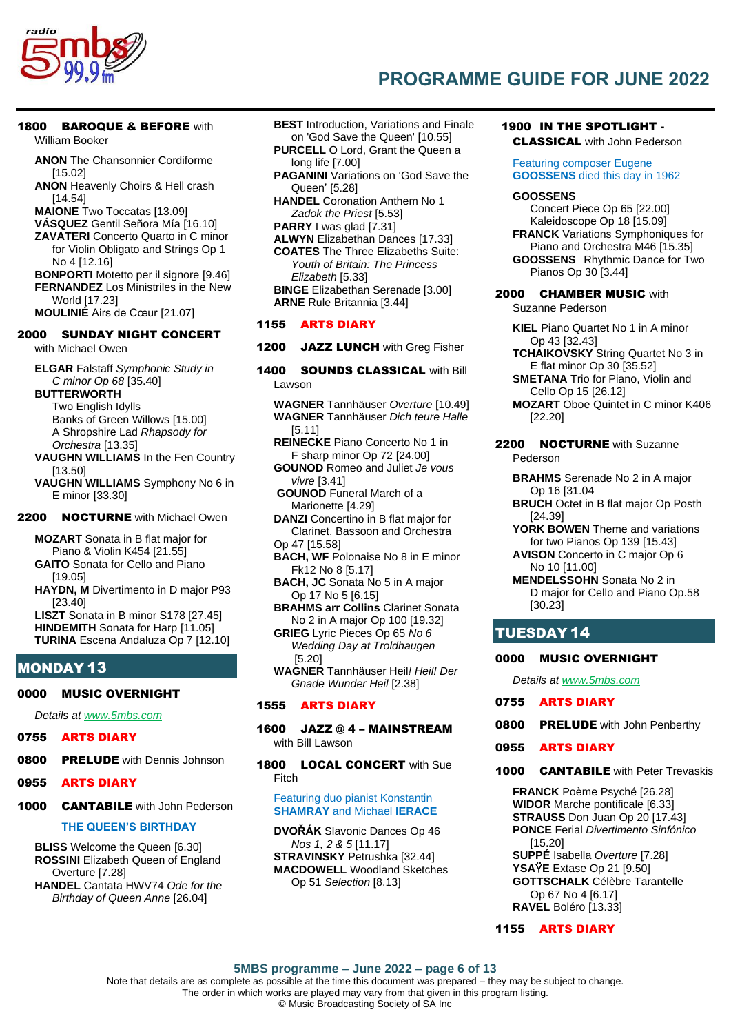

## 1800 BAROQUE & BEFORE with

William Booker

- **ANON** The Chansonnier Cordiforme [15.02]
- **ANON** Heavenly Choirs & Hell crash [14.54]
- **MAIONE** Two Toccatas [13.09]
- **VÁSQUEZ** Gentil Señora Mía [16.10]
- **ZAVATERI** Concerto Quarto in C minor for Violin Obligato and Strings Op 1 No 4 [12.16]
- **BONPORTI** Motetto per il signore [9.46] **FERNANDEZ** Los Ministriles in the New World [17.23]

**MOULINIÉ** Airs de Cœur [21.07]

#### 2000 SUNDAY NIGHT CONCERT

with Michael Owen

- **ELGAR** Falstaff *Symphonic Study in C minor Op 68* [35.40]
- **BUTTERWORTH**
	- Two English Idylls Banks of Green Willows [15.00] A Shropshire Lad *Rhapsody for Orchestra* [13.35]
- **VAUGHN WILLIAMS** In the Fen Country [13.50]
- **VAUGHN WILLIAMS** Symphony No 6 in E minor [33.30]

## 2200 **NOCTURNE** with Michael Owen

**MOZART** Sonata in B flat major for Piano & Violin K454 [21.55]

- **GAITO** Sonata for Cello and Piano [19.05]
- **HAYDN, M** Divertimento in D major P93 [23.40]

**LISZT** Sonata in B minor S178 [27.45] **HINDEMITH** Sonata for Harp [11.05] **TURINA** Escena Andaluza Op 7 [12.10]

## MONDAY 13

### 0000 MUSIC OVERNIGHT

*Details at [www.5mbs.com](http://www.5mbs.com/mbs/)*

- 0755 ARTS DIARY
- **0800 PRELUDE** with Dennis Johnson
- 0955 ARTS DIARY
- **1000 CANTABILE** with John Pederson

#### **THE QUEEN'S BIRTHDAY**

**BLISS** Welcome the Queen [6.30] **ROSSINI** Elizabeth Queen of England Overture [7.28]

**HANDEL** Cantata HWV74 *Ode for the Birthday of Queen Anne* [26.04]

- **BEST** Introduction, Variations and Finale on 'God Save the Queen' [10.55]
- **PURCELL** O Lord, Grant the Queen a long life [7.00]
- **PAGANINI** Variations on 'God Save the
- Queen' [5.28] **HANDEL** Coronation Anthem No 1
- *Zadok the Priest* [5.53]
- **PARRY** I was glad [7.31]
- **ALWYN** Elizabethan Dances [17.33]
- **COATES** The Three Elizabeths Suite: *Youth of Britain: The Princess Elizabeth* [5.33]
- **BINGE** Elizabethan Serenade [3.00] **ARNE** Rule Britannia [3.44]

#### 1155 ARTS DIARY

- 1200 JAZZ LUNCH with Greg Fisher
- 1400 SOUNDS CLASSICAL with Bill Lawson
	- **WAGNER** Tannhäuser *Overture* [10.49] **WAGNER** Tannhäuser *Dich teure Halle* [5.11]
	- **REINECKE** Piano Concerto No 1 in F sharp minor Op 72 [24.00]
	- **GOUNOD** Romeo and Juliet *Je vous vivre* [3.41]
	- **GOUNOD** Funeral March of a Marionette [4.29]
	- **DANZI** Concertino in B flat major for Clarinet, Bassoon and Orchestra Op 47 [15.58]
	- **BACH, WF** Polonaise No 8 in E minor Fk12 No 8 [5.17]
	- **BACH, JC** Sonata No 5 in A major Op 17 No 5 [6.15]
	- **BRAHMS arr Collins** Clarinet Sonata No 2 in A major Op 100 [19.32]
	- **GRIEG** Lyric Pieces Op 65 *No 6 Wedding Day at Troldhaugen* [5.20]
	- **WAGNER** Tannhäuser Heil*! Heil! Der Gnade Wunder Heil* [2.38]

### 1555 ARTS DIARY

- 1600 JAZZ @ 4 MAINSTREAM with Bill Lawson
- 1800 LOCAL CONCERT with Sue Fitch

Featuring duo pianist Konstantin **SHAMRAY** and Michael **IERACE**

**DVOŘÁK** Slavonic Dances Op 46 *Nos 1, 2 & 5* [11.17] **STRAVINSKY** Petrushka [32.44] **MACDOWELL** Woodland Sketches Op 51 *Selection* [8.13]

## 1900 IN THE SPOTLIGHT -

CLASSICAL with John Pederson

#### Featuring composer Eugene **GOOSSENS** died this day in 1962

#### **GOOSSENS**

Concert Piece Op 65 [22.00] Kaleidoscope Op 18 [15.09] **FRANCK** Variations Symphoniques for Piano and Orchestra M46 [15.35] **GOOSSENS** Rhythmic Dance for Two Pianos Op 30 [3.44]

#### 2000 CHAMBER MUSIC with

Suzanne Pederson

- **KIEL** Piano Quartet No 1 in A minor Op 43 [32.43]
- **TCHAIKOVSKY** String Quartet No 3 in E flat minor Op 30 [35.52]
- **SMETANA** Trio for Piano, Violin and Cello Op 15 [26.12]
- **MOZART** Oboe Quintet in C minor K406 [22.20]

#### 2200 **NOCTURNE** with Suzanne Pederson

- **BRAHMS** Serenade No 2 in A major Op 16 [31.04
- **BRUCH** Octet in B flat major Op Posth [24.39]
- **YORK BOWEN** Theme and variations for two Pianos Op 139 [15.43] **AVISON** Concerto in C major Op 6
- No 10 [11.00] **MENDELSSOHN** Sonata No 2 in

D major for Cello and Piano Op.58 [30.23]

## TUESDAY 14

#### 0000 MUSIC OVERNIGHT

*Details a[t www.5mbs.com](http://www.5mbs.com/mbs/)*

- 0755 ARTS DIARY
- **0800 PRELUDE** with John Penberthy
- 0955 ARTS DIARY
- **1000 CANTABILE** with Peter Trevaskis

**FRANCK** Poème Psyché [26.28] **WIDOR** Marche pontificale [6.33] **STRAUSS** Don Juan Op 20 [17.43] **PONCE** Ferial *Divertimento Sinfónico* [15.20] **SUPPÉ** Isabella *Overture* [7.28] **YSA**Ÿ**E** Extase Op 21 [9.50] **GOTTSCHALK** Célèbre Tarantelle Op 67 No 4 [6.17] **RAVEL** Boléro [13.33]

1155 ARTS DIARY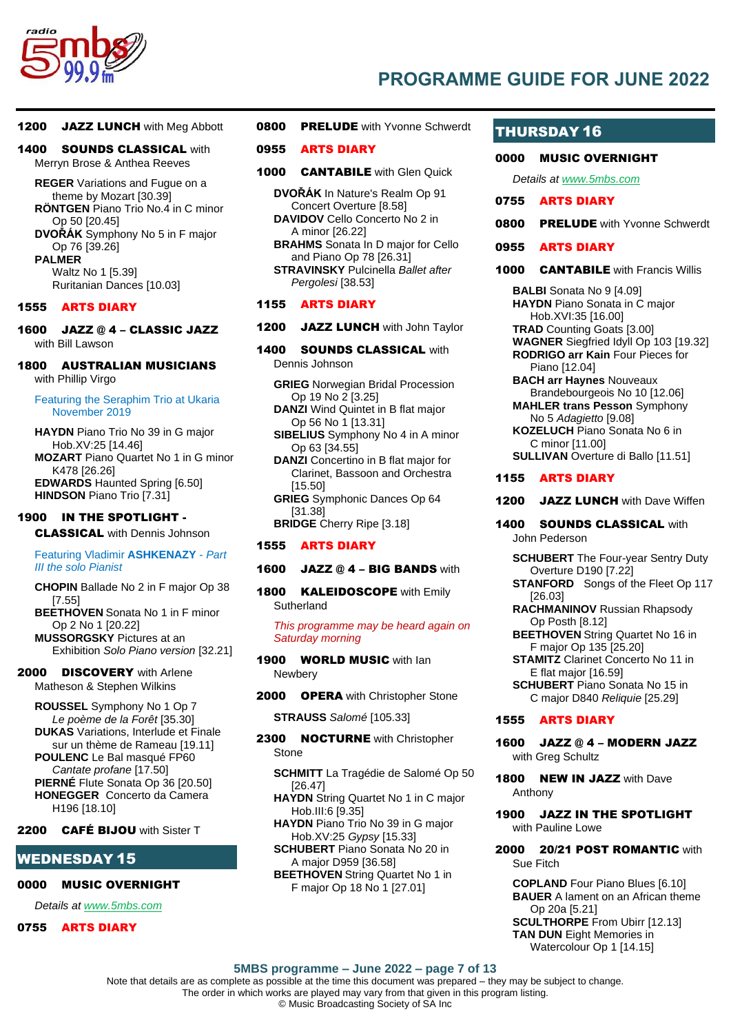

#### 1200 JAZZ LUNCH with Meg Abbott

1400 SOUNDS CLASSICAL with Merryn Brose & Anthea Reeves

**REGER** Variations and Fugue on a theme by Mozart [30.39]

**RÖNTGEN** Piano Trio No.4 in C minor Op 50 [20.45]

**DVOŘÁK** Symphony No 5 in F major Op 76 [39.26]

**PALMER** Waltz No 1 [5.39] Ruritanian Dances [10.03]

#### 1555 ARTS DIARY

1600 JAZZ @ 4 – CLASSIC JAZZ with **Bill Lawson** 

## 1800 AUSTRALIAN MUSICIANS

with Phillip Virgo

Featuring the Seraphim Trio at Ukaria November 2019

**HAYDN** Piano Trio No 39 in G major Hob.XV:25 [14.46] **MOZART** Piano Quartet No 1 in G minor K478 [26.26] **EDWARDS** Haunted Spring [6.50] **HINDSON** Piano Trio [7.31]

## 1900 IN THE SPOTLIGHT -

CLASSICAL with Dennis Johnson

Featuring Vladimir **ASHKENAZY** - *Part III the solo Pianist*

**CHOPIN** Ballade No 2 in F major Op 38 [7.55]

**BEETHOVEN** Sonata No 1 in F minor Op 2 No 1 [20.22]

**MUSSORGSKY** Pictures at an Exhibition *Solo Piano version* [32.21]

2000 **DISCOVERY** with Arlene Matheson & Stephen Wilkins

**ROUSSEL** Symphony No 1 Op 7 *Le poème de la Forêt* [35.30] **DUKAS** Variations, Interlude et Finale sur un thème de Rameau [19.11] **POULENC** Le Bal masqué FP60 *Cantate profane* [17.50] **PIERNÉ** Flute Sonata Op 36 [20.50] **HONEGGER** Concerto da Camera H196 [18.10]

2200 CAFÉ BIJOU with Sister T

## WEDNESDAY 15

#### 0000 MUSIC OVERNIGHT

*Details at [www.5mbs.com](http://www.5mbs.com/mbs/)*

#### 0755 ARTS DIARY

**0800 PRELUDE** with Yvonne Schwerdt

#### 0955 ARTS DIARY

**1000 CANTABILE** with Glen Quick

**DVOŘÁK** In Nature's Realm Op 91 Concert Overture [8.58]

**DAVIDOV** Cello Concerto No 2 in A minor [26.22] **BRAHMS** Sonata In D major for Cello

and Piano Op 78 [26.31] **STRAVINSKY** Pulcinella *Ballet after* 

*Pergolesi* [38.53]

## 1155 ARTS DIARY

#### 1200 JAZZ LUNCH with John Taylor

#### 1400 SOUNDS CLASSICAL with

Dennis Johnson

**GRIEG** Norwegian Bridal Procession Op 19 No 2 [3.25]

**DANZI** Wind Quintet in B flat major Op 56 No 1 [13.31]

**SIBELIUS** Symphony No 4 in A minor Op 63 [34.55]

**DANZI** Concertino in B flat major for Clarinet, Bassoon and Orchestra [15.50] **GRIEG** Symphonic Dances Op 64

[31.38] **BRIDGE** Cherry Ripe [3.18]

#### 1555 ARTS DIARY

#### 1600 JAZZ @ 4 - BIG BANDS with

1800 **KALEIDOSCOPE** with Emily **Sutherland** 

*This programme may be heard again on Saturday morning*

#### 1900 **WORLD MUSIC** with lan **Newbery**

2000 OPERA with Christopher Stone

**STRAUSS** *Salomé* [105.33]

- 2300 NOCTURNE with Christopher Stone
	- **SCHMITT** La Tragédie de Salomé Op 50 [26.47]
	- **HAYDN** String Quartet No 1 in C major Hob.III:6 [9.35]
	- **HAYDN** Piano Trio No 39 in G major Hob.XV:25 *Gypsy* [15.33]
	- **SCHUBERT** Piano Sonata No 20 in A major D959 [36.58]
	- **BEETHOVEN** String Quartet No 1 in F major Op 18 No 1 [27.01]

## THURSDAY 16

#### 0000 MUSIC OVERNIGHT

*Details a[t www.5mbs.com](http://www.5mbs.com/mbs/)*

- 0755 ARTS DIARY
- **0800 PRELUDE** with Yvonne Schwerdt
- 0955 ARTS DIARY

#### 1000 CANTABILE with Francis Willis

**BALBI** Sonata No 9 [4.09] **HAYDN** Piano Sonata in C major Hob.XVI:35 [16.00] **TRAD** Counting Goats [3.00] **WAGNER** Siegfried Idyll Op 103 [19.32] **RODRIGO arr Kain** Four Pieces for Piano [12.04] **BACH arr Haynes** Nouveaux Brandebourgeois No 10 [12.06] **MAHLER trans Pesson** Symphony No 5 *Adagietto* [9.08] **KOZELUCH** Piano Sonata No 6 in C minor [11.00] **SULLIVAN** Overture di Ballo [11.51]

#### 1155 ARTS DIARY

#### 1200 JAZZ LUNCH with Dave Wiffen

#### 1400 SOUNDS CLASSICAL with John Pederson

**SCHUBERT** The Four-year Sentry Duty Overture D190 [7.22]

- **STANFORD** Songs of the Fleet Op 117 [26.03]
- **RACHMANINOV** Russian Rhapsody Op Posth [8.12]
- **BEETHOVEN** String Quartet No 16 in F major Op 135 [25.20]
- **STAMITZ** Clarinet Concerto No 11 in E flat major [16.59] **SCHUBERT** Piano Sonata No 15 in

C major D840 *Reliquie* [25.29]

#### 1555 ARTS DIARY

- 1600 JAZZ @ 4 MODERN JAZZ with Greg Schultz
- 1800 NEW IN JAZZ with Dave Anthony
- 1900 JAZZ IN THE SPOTLIGHT with Pauline Lowe
- 2000 20/21 POST ROMANTIC with Sue Fitch

**COPLAND** Four Piano Blues [6.10] **BAUER** A lament on an African theme Op 20a [5.21] **SCULTHORPE** From Ubirr [12.13] **TAN DUN** Eight Memories in Watercolour Op 1 [14.15]

#### **5MBS programme – June 2022 – page 7 of 13**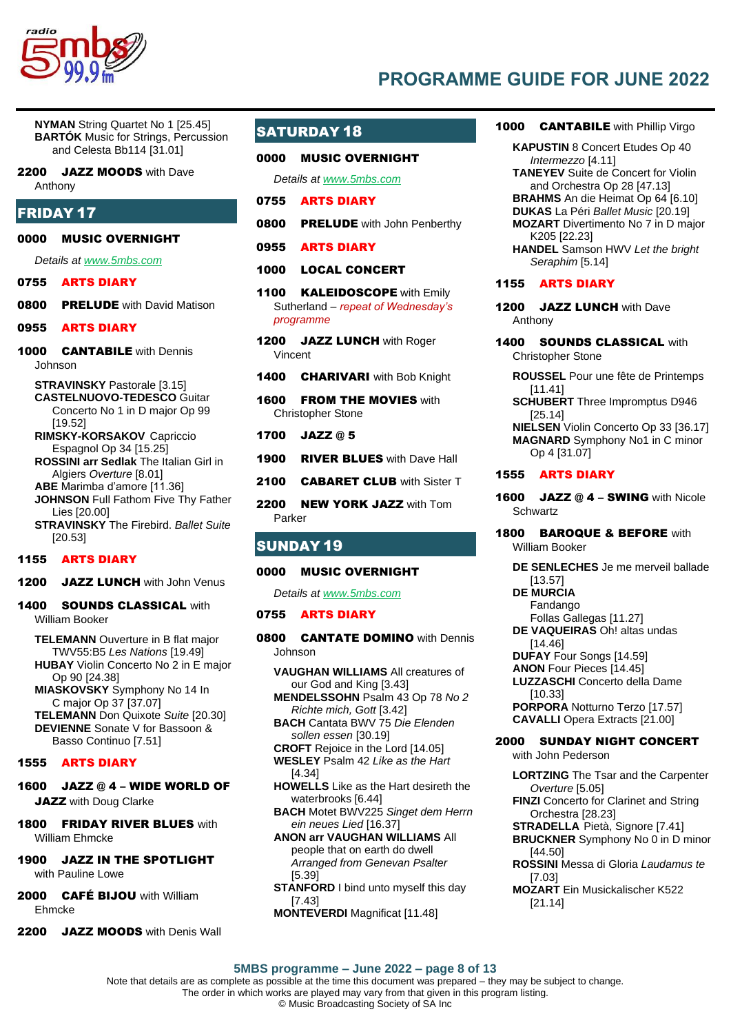

**NYMAN** String Quartet No 1 [25.45] **BARTÓK** Music for Strings, Percussion and Celesta Bb114 [31.01]

#### 2200 JAZZ MOODS with Dave Anthony

### FRIDAY 17

#### 0000 MUSIC OVERNIGHT

*Details at [www.5mbs.com](http://www.5mbs.com/mbs/)*

#### 0755 ARTS DIARY

**0800 PRELUDE** with David Matison

#### 0955 ARTS DIARY

**1000 CANTABILE** with Dennis Johnson

**STRAVINSKY** Pastorale [3.15] **CASTELNUOVO-TEDESCO** Guitar Concerto No 1 in D major Op 99 [19.52] **RIMSKY-KORSAKOV** Capriccio

Espagnol Op 34 [15.25] **ROSSINI arr Sedlak** The Italian Girl in Algiers *Overture* [8.01] **ABE** Marimba d'amore [11.36]

**JOHNSON** Full Fathom Five Thy Father Lies [20.00]

**STRAVINSKY** The Firebird. *Ballet Suite* [20.53]

#### 1155 ARTS DIARY

1200 JAZZ LUNCH with John Venus

#### 1400 SOUNDS CLASSICAL with William Booker

**TELEMANN** Ouverture in B flat major TWV55:B5 *Les Nations* [19.49] **HUBAY** Violin Concerto No 2 in E major Op 90 [24.38] **MIASKOVSKY** Symphony No 14 In C major Op 37 [37.07] **TELEMANN** Don Quixote *Suite* [20.30] **DEVIENNE** Sonate V for Bassoon & Basso Continuo [7.51]

#### 1555 ARTS DIARY

- 1600 JAZZ @ 4 WIDE WORLD OF JAZZ with Doug Clarke
- 1800 FRIDAY RIVER BLUES with William Ehmcke
- 1900 JAZZ IN THE SPOTLIGHT with Pauline Lowe
- 2000 CAFÉ BIJOU with William Ehmcke
- 2200 JAZZ MOODS with Denis Wall

## SATURDAY 18

#### 0000 MUSIC OVERNIGHT

*Details at [www.5mbs.com](http://www.5mbs.com/mbs/)*

0755 ARTS DIARY

**0800 PRELUDE** with John Penberthy

#### 0955 ARTS DIARY

#### 1000 LOCAL CONCERT

- 1100 **KALEIDOSCOPE** with **Emily** Sutherland – *repeat of Wednesday's programme*
- 1200 JAZZ LUNCH with Roger Vincent

1400 **CHARIVARI** with Bob Knight

- **1600 FROM THE MOVIES with** Christopher Stone
- 1700 JAZZ @ 5
- 1900 RIVER BLUES with Dave Hall
- 2100 CABARET CLUB with Sister T
- 2200 NEW YORK JAZZ with Tom Parker

## SUNDAY 19

### 0000 MUSIC OVERNIGHT

*Details at [www.5mbs.com](http://www.5mbs.com/mbs/)*

#### 0755 ARTS DIARY

- **0800 CANTATE DOMINO** with Dennis Johnson
	- **VAUGHAN WILLIAMS** All creatures of our God and King [3.43]

**MENDELSSOHN** Psalm 43 Op 78 *No 2 Richte mich, Gott* [3.42] **BACH** Cantata BWV 75 *Die Elenden* 

*sollen essen* [30.19] **CROFT** Rejoice in the Lord [14.05]

**WESLEY** Psalm 42 *Like as the Hart* [4.34]

- **HOWELLS** Like as the Hart desireth the waterbrooks [6.44]
- **BACH** Motet BWV225 *Singet dem Herrn ein neues Lied* [16.37]
- **ANON arr VAUGHAN WILLIAMS** All people that on earth do dwell *Arranged from Genevan Psalter* [5.39]
- **STANFORD** I bind unto myself this day [7.43]

**MONTEVERDI** Magnificat [11.48]

#### **1000 CANTABILE** with Phillip Virgo

**KAPUSTIN** 8 Concert Etudes Op 40 *Intermezzo* [4.11]

**TANEYEV** Suite de Concert for Violin and Orchestra Op 28 [47.13] **BRAHMS** An die Heimat Op 64 [6.10] **DUKAS** La Péri *Ballet Music* [20.19] **MOZART** Divertimento No 7 in D major K205 [22.23] **HANDEL** Samson HWV *Let the bright Seraphim* [5.14]

#### 1155 ARTS DIARY

1200 JAZZ LUNCH with Dave Anthony

- 1400 SOUNDS CLASSICAL with Christopher Stone
	- **ROUSSEL** Pour une fête de Printemps [11.41]
	- **SCHUBERT** Three Impromptus D946 [25.14]
	- **NIELSEN** Violin Concerto Op 33 [36.17] **MAGNARD** Symphony No1 in C minor Op 4 [31.07]

#### 1555 ARTS DIARY

#### 1600 JAZZ @ 4 - SWING with Nicole **Schwartz**

**1800 BAROQUE & BEFORE with** William Booker

**DE SENLECHES** Je me merveil ballade [13.57] **DE MURCIA** Fandango Follas Gallegas [11.27] **DE VAQUEIRAS** Oh! altas undas

- [14.46]
- **DUFAY** Four Songs [14.59]

**ANON** Four Pieces [14.45] **LUZZASCHI** Concerto della Dame [10.33]

**PORPORA** Notturno Terzo [17.57] **CAVALLI** Opera Extracts [21.00]

## 2000 SUNDAY NIGHT CONCERT

with John Pederson

- **LORTZING** The Tsar and the Carpenter *Overture* [5.05]
- **FINZI** Concerto for Clarinet and String Orchestra [28.23]
- **STRADELLA** Pietà, Signore [7.41]
- **BRUCKNER** Symphony No 0 in D minor [44.50]
- **ROSSINI** Messa di Gloria *Laudamus te* [7.03]
- **MOZART** Ein Musickalischer K522 [21.14]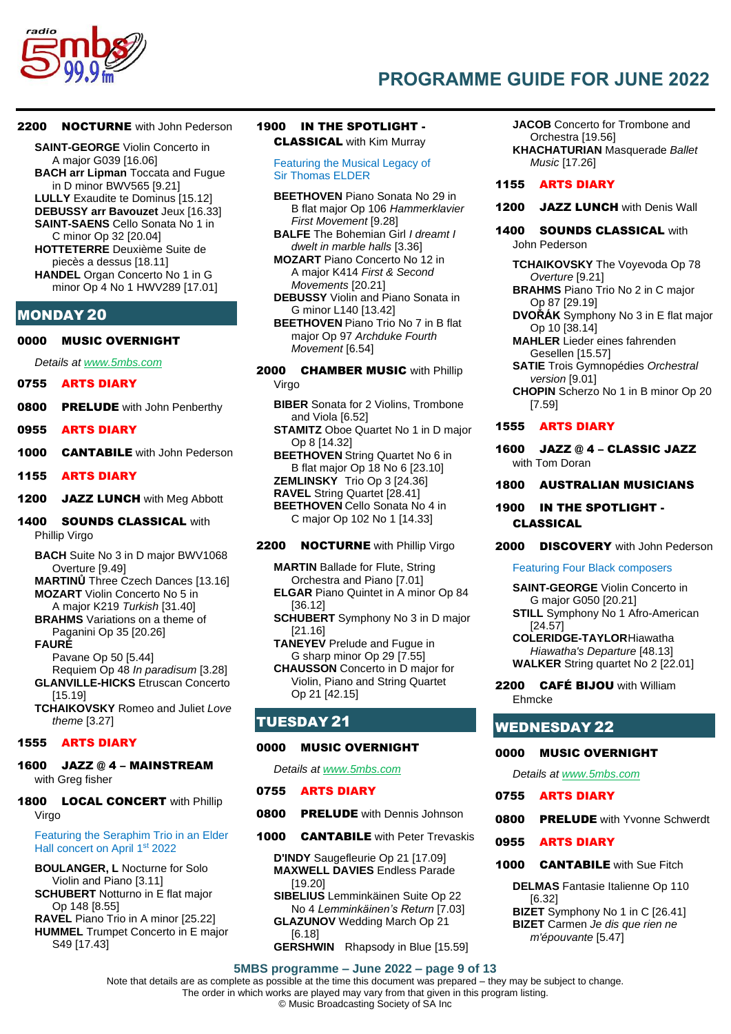

#### 2200 NOCTURNE with John Pederson

**SAINT-GEORGE** Violin Concerto in A major G039 [16.06] **BACH arr Lipman** Toccata and Fugue in D minor BWV565 [9.21] **LULLY** Exaudite te Dominus [15.12] **DEBUSSY arr Bavouzet** Jeux [16.33] **SAINT-SAENS** Cello Sonata No 1 in C minor Op 32 [20.04] **HOTTETERRE** Deuxième Suite de piecès a dessus [18.11] **HANDEL** Organ Concerto No 1 in G minor Op 4 No 1 HWV289 [17.01]

## MONDAY 20

#### 0000 MUSIC OVERNIGHT

*Details at [www.5mbs.com](http://www.5mbs.com/mbs/)*

#### 0755 ARTS DIARY

**0800 PRELUDE** with John Penberthy

#### 0955 ARTS DIARY

1000 CANTABILE with John Pederson

#### 1155 ARTS DIARY

1200 JAZZ LUNCH with Meg Abbott

#### 1400 SOUNDS CLASSICAL with Phillip Virgo

**BACH** Suite No 3 in D major BWV1068 Overture [9.49] **MARTINŮ** Three Czech Dances [13.16] **MOZART** Violin Concerto No 5 in A major K219 *Turkish* [31.40] **BRAHMS** Variations on a theme of Paganini Op 35 [20.26] **FAURÉ** Pavane Op 50 [5.44] Requiem Op 48 *In paradisum* [3.28] **GLANVILLE-HICKS** Etruscan Concerto [15.19]

**TCHAIKOVSKY** Romeo and Juliet *Love theme* [3.27]

## 1555 ARTS DIARY

#### 1600 JAZZ @ 4 – MAINSTREAM with Greg fisher

#### 1800 LOCAL CONCERT with Phillip Virgo

#### Featuring the Seraphim Trio in an Elder Hall concert on April 1st 2022

- **BOULANGER, L** Nocturne for Solo Violin and Piano [3.11] **SCHUBERT** Notturno in E flat major Op 148 [8.55]
- **RAVEL** Piano Trio in A minor [25.22] **HUMMEL** Trumpet Concerto in E major S49 [17.43]

#### 1900 IN THE SPOTLIGHT -

CLASSICAL with Kim Murray

#### Featuring the Musical Legacy of Sir Thomas ELDER

- **BEETHOVEN** Piano Sonata No 29 in B flat major Op 106 *Hammerklavier First Movement* [9.28]
- **BALFE** The Bohemian Girl *I dreamt I dwelt in marble halls* [3.36]
- **MOZART** Piano Concerto No 12 in A major K414 *First & Second Movements* [20.21]
- **DEBUSSY** Violin and Piano Sonata in G minor L140 [13.42]
- **BEETHOVEN** Piano Trio No 7 in B flat major Op 97 *Archduke Fourth Movement* [6.54]

**2000 CHAMBER MUSIC with Phillip** Virgo

- **BIBER** Sonata for 2 Violins, Trombone and Viola [6.52]
- **STAMITZ** Oboe Quartet No 1 in D major Op 8 [14.32]
- **BEETHOVEN** String Quartet No 6 in B flat major Op 18 No 6 [23.10] **ZEMLINSKY** Trio Op 3 [24.36] **RAVEL** String Quartet [28.41] **BEETHOVEN** Cello Sonata No 4 in
- C major Op 102 No 1 [14.33]

### 2200 **NOCTURNE** with Phillip Virgo

- **MARTIN** Ballade for Flute, String Orchestra and Piano [7.01]
- **ELGAR** Piano Quintet in A minor Op 84 [36.12]
- **SCHUBERT** Symphony No 3 in D major [21.16]
- **TANEYEV** Prelude and Fugue in G sharp minor Op 29 [7.55]
- **CHAUSSON** Concerto in D major for Violin, Piano and String Quartet Op 21 [42.15]

## TUESDAY 21

#### 0000 MUSIC OVERNIGHT

*Details at [www.5mbs.com](http://www.5mbs.com/mbs/)*

#### 0755 ARTS DIARY

- **0800 PRELUDE** with Dennis Johnson
- **1000 CANTABILE** with Peter Trevaskis

**D'INDY** Saugefleurie Op 21 [17.09] **MAXWELL DAVIES** Endless Parade [19.20]

**SIBELIUS** Lemminkäinen Suite Op 22 No 4 *Lemminkäinen's Return* [7.03] **GLAZUNOV** Wedding March Op 21 [6.18]

**GERSHWIN** Rhapsody in Blue [15.59]

#### **JACOB** Concerto for Trombone and Orchestra [19.56] **KHACHATURIAN** Masquerade *Ballet Music* [17.26]

#### 1155 ARTS DIARY

1200 JAZZ LUNCH with Denis Wall

#### **1400 SOUNDS CLASSICAL with**

John Pederson

- **TCHAIKOVSKY** The Voyevoda Op 78 *Overture* [9.21]
- **BRAHMS** Piano Trio No 2 in C major Op 87 [29.19]
- **DVOŘÁK** Symphony No 3 in E flat major Op 10 [38.14]
- **MAHLER** Lieder eines fahrenden Gesellen [15.57]
- **SATIE** Trois Gymnopédies *Orchestral version* [9.01]

**CHOPIN** Scherzo No 1 in B minor Op 20 [7.59]

#### 1555 ARTS DIARY

- 1600 JAZZ @ 4 CLASSIC JAZZ with Tom Doran
- 1800 AUSTRALIAN MUSICIANS

#### 1900 IN THE SPOTLIGHT - CLASSICAL

#### 2000 **DISCOVERY** with John Pederson

#### Featuring Four Black composers

**SAINT-GEORGE** Violin Concerto in G major G050 [20.21] **STILL** Symphony No 1 Afro-American

[24.57] **COLERIDGE-TAYLOR**Hiawatha

*Hiawatha's Departure* [48.13] **WALKER** String quartet No 2 [22.01]

2200 CAFÉ BIJOU with William Ehmcke

## WEDNESDAY 22

#### 0000 MUSIC OVERNIGHT

*Details a[t www.5mbs.com](http://www.5mbs.com/mbs/)*

| 0755 | <b>ARTS DIARY</b> |  |
|------|-------------------|--|
|      |                   |  |

- **0800 PRELUDE** with Yvonne Schwerdt
- 0955 ARTS DIARY

### **1000 CANTABILE** with Sue Fitch

**DELMAS** Fantasie Italienne Op 110 [6.32] **BIZET** Symphony No 1 in C [26.41] **BIZET** Carmen *Je dis que rien ne m'épouvante* [5.47]

## **5MBS programme – June 2022 – page 9 of 13**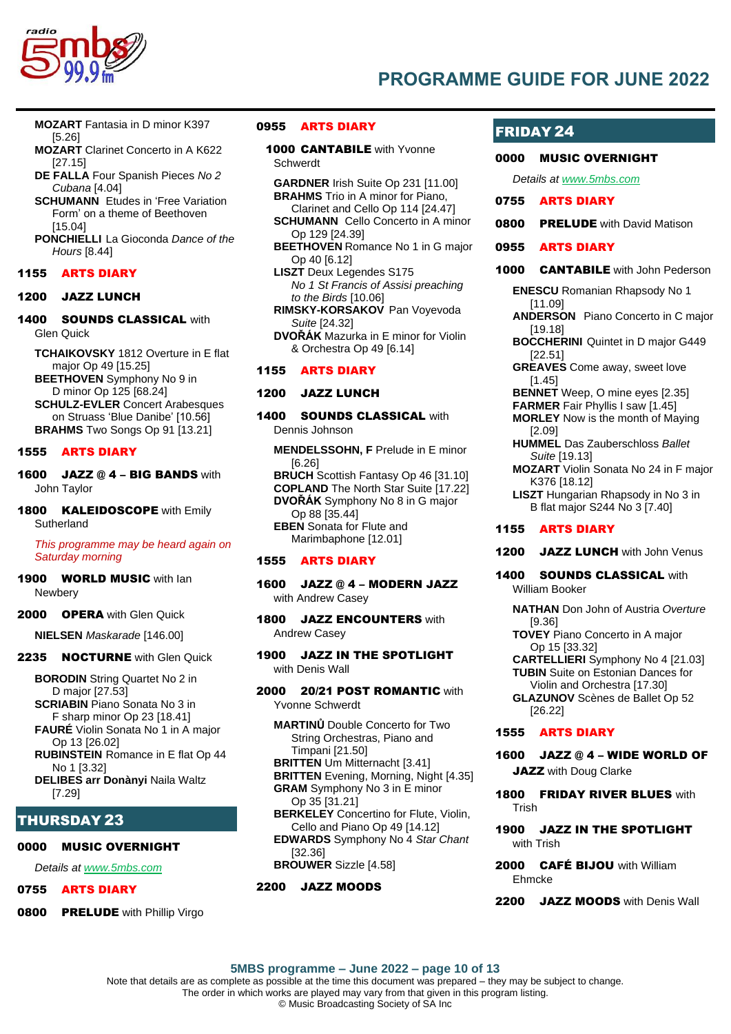

- **MOZART** Fantasia in D minor K397 [5.26]
- **MOZART** Clarinet Concerto in A K622 [27.15]
- **DE FALLA** Four Spanish Pieces *No 2 Cubana* [4.04]
- **SCHUMANN** Etudes in 'Free Variation Form' on a theme of Beethoven [15.04]
- **PONCHIELLI** La Gioconda *Dance of the Hours* [8.44]

### 1155 ARTS DIARY

#### 1200 JAZZ LUNCH

1400 SOUNDS CLASSICAL with Glen Quick

**TCHAIKOVSKY** 1812 Overture in E flat major Op 49 [15.25] **BEETHOVEN** Symphony No 9 in D minor Op 125 [68.24] **SCHULZ-EVLER** Concert Arabesques on Struass 'Blue Danibe' [10.56] **BRAHMS** Two Songs Op 91 [13.21]

#### 1555 ARTS DIARY

- 1600 JAZZ @ 4 BIG BANDS with John Taylor
- 1800 **KALEIDOSCOPE** with Emily **Sutherland**

*This programme may be heard again on Saturday morning*

1900 **WORLD MUSIC** with lan Newbery

### 2000 OPERA with Glen Quick

**NIELSEN** *Maskarade* [146.00]

#### 2235 NOCTURNE with Glen Quick

**BORODIN** String Quartet No 2 in D major [27.53] **SCRIABIN** Piano Sonata No 3 in F sharp minor Op 23 [18.41] **FAURÉ** Violin Sonata No 1 in A major Op 13 [26.02] **RUBINSTEIN** Romance in E flat Op 44

No 1 [3.32] **DELIBES arr Donànyi** Naila Waltz

[7.29]

## THURSDAY 23

#### 0000 MUSIC OVERNIGHT

*Details at [www.5mbs.com](http://www.5mbs.com/mbs/)*

#### 0755 ARTS DIARY

**0800 PRELUDE** with Phillip Virgo

#### 0955 ARTS DIARY

- **1000 CANTABILE** with Yvonne Schwerdt
- **GARDNER** Irish Suite Op 231 [11.00] **BRAHMS** Trio in A minor for Piano,
- Clarinet and Cello Op 114 [24.47] **SCHUMANN** Cello Concerto in A minor Op 129 [24.39]
- **BEETHOVEN** Romance No 1 in G major Op 40 [6.12]
- **LISZT** Deux Legendes S175 *No 1 St Francis of Assisi preaching to the Birds* [10.06]

**RIMSKY-KORSAKOV** Pan Voyevoda *Suite* [24.32] **DVOŘÁK** Mazurka in E minor for Violin

& Orchestra Op 49 [6.14]

#### 1155 ARTS DIARY

#### 1200 JAZZ LUNCH

- 1400 SOUNDS CLASSICAL with Dennis Johnson
	- **MENDELSSOHN, F** Prelude in E minor [6.26] **BRUCH** Scottish Fantasy Op 46 [31.10] **COPLAND** The North Star Suite [17.22] **DVOŘÁK** Symphony No 8 in G major Op 88 [35.44] **EBEN** Sonata for Flute and Marimbaphone [12.01]

#### 1555 ARTS DIARY

- 1600 JAZZ @ 4 MODERN JAZZ with Andrew Casey
- **1800 JAZZ ENCOUNTERS with** Andrew Casey
- 1900 JAZZ IN THE SPOTLIGHT with Denis Wall
- 2000 20/21 POST ROMANTIC with Yvonne Schwerdt
	- **MARTINŮ** Double Concerto for Two String Orchestras, Piano and
	- Timpani [21.50] **BRITTEN** Um Mitternacht [3.41]
	- **BRITTEN** Evening, Morning, Night [4.35] **GRAM** Symphony No 3 in E minor
		- Op 35 [31.21]
	- **BERKELEY** Concertino for Flute, Violin,
	- Cello and Piano Op 49 [14.12] **EDWARDS** Symphony No 4 *Star Chant* [32.36]
	- **BROUWER** Sizzle [4.58]

### 2200 JAZZ MOODS

## FRIDAY 24

#### 0000 MUSIC OVERNIGHT

*Details a[t www.5mbs.com](http://www.5mbs.com/mbs/)*

- 0755 ARTS DIARY
- **0800 PRELUDE** with David Matison
- 0955 ARTS DIARY
- **1000 CANTABILE** with John Pederson
	- **ENESCU** Romanian Rhapsody No 1 [11.09]
	- **ANDERSON** Piano Concerto in C major [19.18]
	- **BOCCHERINI** Quintet in D major G449 [22.51]
	- **GREAVES** Come away, sweet love [1.45]
	- **BENNET** Weep, O mine eyes [2.35]
	- **FARMER** Fair Phyllis I saw [1.45]
	- **MORLEY** Now is the month of Maying [2.09]
	- **HUMMEL** Das Zauberschloss *Ballet Suite* [19.13]
	- **MOZART** Violin Sonata No 24 in F major K376 [18.12]
	- **LISZT** Hungarian Rhapsody in No 3 in B flat major S244 No 3 [7.40]

## 1155 ARTS DIARY

- 1200 JAZZ LUNCH with John Venus
- **1400 SOUNDS CLASSICAL with** 
	- William Booker
	- **NATHAN** Don John of Austria *Overture* [9.36]
	- **TOVEY** Piano Concerto in A major Op 15 [33.32]
	- **CARTELLIERI** Symphony No 4 [21.03]
	- **TUBIN** Suite on Estonian Dances for Violin and Orchestra [17.30]
	- **GLAZUNOV** Scènes de Ballet Op 52 [26.22]

#### 1555 ARTS DIARY

- 1600 JAZZ @ 4 WIDE WORLD OF JAZZ with Doug Clarke
- 1800 FRIDAY RIVER BLUES with Trish
- 1900 JAZZ IN THE SPOTLIGHT with Trish
- 2000 CAFÉ BIJOU with William Ehmcke
- 2200 JAZZ MOODS with Denis Wall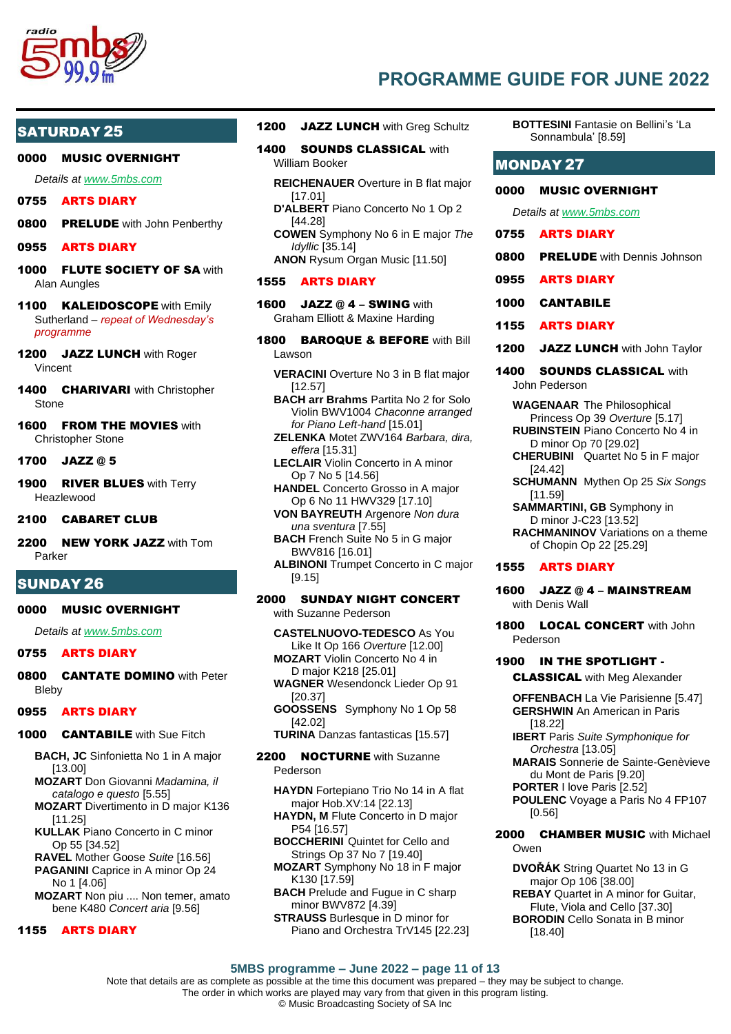

## SATURDAY 25

#### 0000 MUSIC OVERNIGHT

*Details at [www.5mbs.com](http://www.5mbs.com/mbs/)*

#### 0755 ARTS DIARY

**0800 PRELUDE** with John Penberthy

#### 0955 ARTS DIARY

- 1000 FLUTE SOCIETY OF SA with Alan Aungles
- 1100 **KALEIDOSCOPE** with Emily Sutherland – *repeat of Wednesday's programme*
- 1200 JAZZ LUNCH with Roger Vincent
- **1400 CHARIVARI** with Christopher **Stone**
- **1600 FROM THE MOVIES with** Christopher Stone

#### 1700 JAZZ @ 5

1900 RIVER BLUES with Terry **Heazlewood** 

#### 2100 CABARET CLUB

2200 NEW YORK JAZZ with Tom Parker

### SUNDAY 26

#### 0000 MUSIC OVERNIGHT

*Details at [www.5mbs.com](http://www.5mbs.com/mbs/)*

#### 0755 ARTS DIARY

**0800 CANTATE DOMINO** with Peter Bleby

#### 0955 ARTS DIARY

### **1000 CANTABILE** with Sue Fitch

- **BACH, JC** Sinfonietta No 1 in A major [13.00]
- **MOZART** Don Giovanni *Madamina, il catalogo e questo* [5.55]
- **MOZART** Divertimento in D major K136 [11.25]
- **KULLAK** Piano Concerto in C minor Op 55 [34.52]
- **RAVEL** Mother Goose *Suite* [16.56] **PAGANINI** Caprice in A minor Op 24 No 1 [4.06]
- **MOZART** Non piu .... Non temer, amato bene K480 *Concert aria* [9.56]

#### 1155 ARTS DIARY

- 1200 JAZZ LUNCH with Greg Schultz
- 1400 SOUNDS CLASSICAL with William Booker
	- **REICHENAUER** Overture in B flat major [17.01]
	- **D'ALBERT** Piano Concerto No 1 Op 2 [44.28]
	- **COWEN** Symphony No 6 in E major *The Idyllic* [35.14]
	- **ANON** Rysum Organ Music [11.50]

#### 1555 ARTS DIARY

- 1600 JAZZ @ 4 SWING with Graham Elliott & Maxine Harding
- 1800 BAROQUE & BEFORE with Bill Lawson
	- **VERACINI** Overture No 3 in B flat major [12.57]
	- **BACH arr Brahms** Partita No 2 for Solo Violin BWV1004 *Chaconne arranged for Piano Left-hand* [15.01]
	- **ZELENKA** Motet ZWV164 *Barbara, dira, effera* [15.31]
	- **LECLAIR** Violin Concerto in A minor Op 7 No 5 [14.56]
	- **HANDEL** Concerto Grosso in A major Op 6 No 11 HWV329 [17.10]
	- **VON BAYREUTH** Argenore *Non dura una sventura* [7.55]
	- **BACH** French Suite No 5 in G major BWV816 [16.01]
	- **ALBINONI** Trumpet Concerto in C major [9.15]

#### 2000 SUNDAY NIGHT CONCERT with Suzanne Pederson

- **CASTELNUOVO-TEDESCO** As You Like It Op 166 *Overture* [12.00]
- **MOZART** Violin Concerto No 4 in
- D major K218 [25.01] **WAGNER** Wesendonck Lieder Op 91 [20.37]
- **GOOSSENS** Symphony No 1 Op 58 [42.02]
- **TURINA** Danzas fantasticas [15.57]

#### 2200 NOCTURNE with Suzanne Pederson

- **HAYDN** Fortepiano Trio No 14 in A flat major Hob.XV:14 [22.13]
- **HAYDN, M** Flute Concerto in D major P54 [16.57]
- **BOCCHERINI** Quintet for Cello and Strings Op 37 No 7 [19.40]
- **MOZART** Symphony No 18 in F major K130 [17.59]
- **BACH** Prelude and Fugue in C sharp minor BWV872 [4.39]
- **STRAUSS** Burlesque in D minor for Piano and Orchestra TrV145 [22.23]

**BOTTESINI** Fantasie on Bellini's 'La Sonnambula' [8.59]

#### MONDAY 27

#### 0000 MUSIC OVERNIGHT

*Details a[t www.5mbs.com](http://www.5mbs.com/mbs/)*

| 0755 ARTS DIARY                         |
|-----------------------------------------|
| <b>0800 PRELUDE</b> with Dennis Johnson |
| 0955 ARTS DIARY                         |
| 1000 CANTABILE                          |
| <b>1155 ARTS DIARY</b>                  |
|                                         |

- 1200 JAZZ LUNCH with John Taylor
- 1400 SOUNDS CLASSICAL with John Pederson
	- **WAGENAAR** The Philosophical Princess Op 39 *Overture* [5.17] **RUBINSTEIN** Piano Concerto No 4 in D minor Op 70 [29.02]
	- **CHERUBINI** Quartet No 5 in F major [24.42]
	- **SCHUMANN** Mythen Op 25 *Six Songs* [11.59]
	- **SAMMARTINI, GB** Symphony in D minor J-C23 [13.52] **RACHMANINOV** Variations on a theme of Chopin Op 22 [25.29]

#### 1555 ARTS DIARY

1600 JAZZ @ 4 – MAINSTREAM with Denis Wall

1800 LOCAL CONCERT with John Pederson

### 1900 IN THE SPOTLIGHT -

CLASSICAL with Meg Alexander

**OFFENBACH** La Vie Parisienne [5.47] **GERSHWIN** An American in Paris [18.22]

**IBERT** Paris *Suite Symphonique for Orchestra* [13.05]

**MARAIS** Sonnerie de Sainte-Genèvieve du Mont de Paris [9.20]

- **PORTER** I love Paris [2.52]
- **POULENC** Voyage a Paris No 4 FP107 [0.56]

#### 2000 CHAMBER MUSIC with Michael Owen

**DVOŘÁK** String Quartet No 13 in G major Op 106 [38.00] **REBAY** Quartet in A minor for Guitar, Flute, Viola and Cello [37.30] **BORODIN** Cello Sonata in B minor [18.40]

**5MBS programme – June 2022 – page 11 of 13**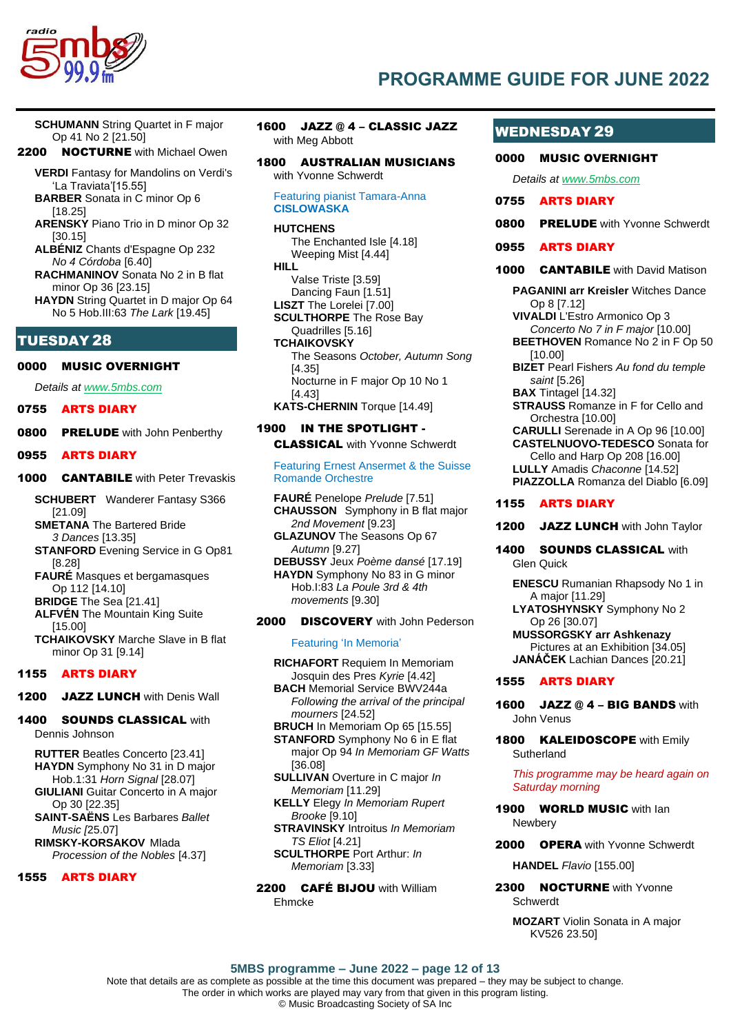

**SCHUMANN** String Quartet in F major Op 41 No 2 [21.50]

#### 2200 **NOCTURNE** with Michael Owen

**VERDI** Fantasy for Mandolins on Verdi's 'La Traviata'[15.55]

**BARBER** Sonata in C minor Op 6 [18.25]

- **ARENSKY** Piano Trio in D minor Op 32 [30.15]
- **ALBÉNIZ** Chants d'Espagne Op 232 *No 4 Córdoba* [6.40]
- **RACHMANINOV** Sonata No 2 in B flat minor Op 36 [23.15]
- **HAYDN** String Quartet in D major Op 64 No 5 Hob.III:63 *The Lark* [19.45]

## TUESDAY 28

#### 0000 MUSIC OVERNIGHT

*Details at [www.5mbs.com](http://www.5mbs.com/mbs/)*

#### 0755 ARTS DIARY

**0800 PRELUDE** with John Penberthy

#### 0955 ARTS DIARY

**1000 CANTABILE** with Peter Trevaskis

**SCHUBERT** Wanderer Fantasy S366 [21.09] **SMETANA** The Bartered Bride

*3 Dances* [13.35]

**STANFORD** Evening Service in G Op81 [8.28]

**FAURÉ** Masques et bergamasques Op 112 [14.10]

**BRIDGE** The Sea [21.41]

**ALFVÉN** The Mountain King Suite

[15.00] **TCHAIKOVSKY** Marche Slave in B flat

minor Op 31 [9.14]

#### 1155 ARTS DIARY

1200 JAZZ LUNCH with Denis Wall

#### 1400 SOUNDS CLASSICAL with Dennis Johnson

**RUTTER** Beatles Concerto [23.41] **HAYDN** Symphony No 31 in D major Hob.1:31 *Horn Signal* [28.07] **GIULIANI** Guitar Concerto in A major Op 30 [22.35] **SAINT-SAËNS** Les Barbares *Ballet Music [*25.07] **RIMSKY-KORSAKOV** Mlada *Procession of the Nobles* [4.37]

#### 1555 ARTS DIARY

1600 JAZZ @ 4 – CLASSIC JAZZ with Meg Abbott

1800 AUSTRALIAN MUSICIANS with Yvonne Schwerdt

Featuring pianist Tamara-Anna **CISLOWASKA**

#### **HUTCHENS**

The Enchanted Isle [4.18] Weeping Mist [4.44] **HILL** Valse Triste [3.59] Dancing Faun [1.51] **LISZT** The Lorelei [7.00] **SCULTHORPE** The Rose Bay Quadrilles [5.16] **TCHAIKOVSKY** The Seasons *October, Autumn Song* [4.35] Nocturne in F major Op 10 No 1 [4.43] **KATS-CHERNIN** Torque [14.49]

#### 1900 IN THE SPOTLIGHT - CLASSICAL with Yvonne Schwerdt

Featuring Ernest Ansermet & the Suisse Romande Orchestre

**FAURÉ** Penelope *Prelude* [7.51] **CHAUSSON** Symphony in B flat major *2nd Movement* [9.23] **GLAZUNOV** The Seasons Op 67

*Autumn* [9.27] **DEBUSSY** Jeux *Poème dansé* [17.19] **HAYDN** Symphony No 83 in G minor Hob.I:83 *La Poule 3rd & 4th* 

*movements* [9.30]

#### 2000 **DISCOVERY** with John Pederson

#### Featuring 'In Memoria'

**RICHAFORT** Requiem In Memoriam Josquin des Pres *Kyrie* [4.42]

**BACH** Memorial Service BWV244a *Following the arrival of the principal mourners* [24.52]

- **BRUCH** In Memoriam Op 65 [15.55] **STANFORD** Symphony No 6 in E flat major Op 94 *In Memoriam GF Watts*
- [36.08] **SULLIVAN** Overture in C major *In*
- *Memoriam* [11.29]
- **KELLY** Elegy *In Memoriam Rupert Brooke* [9.10]

**STRAVINSKY** Introitus *In Memoriam TS Eliot* [4.21]

- **SCULTHORPE** Port Arthur: *In Memoriam* [3.33]
- 2200 CAFÉ BIJOU with William Ehmcke

## WEDNESDAY 29

| <b>WEDNESDAY 29</b>                                                                                                                                                                                                                                                                                                                                                                                                                                                                                                                                    |                                     |  |
|--------------------------------------------------------------------------------------------------------------------------------------------------------------------------------------------------------------------------------------------------------------------------------------------------------------------------------------------------------------------------------------------------------------------------------------------------------------------------------------------------------------------------------------------------------|-------------------------------------|--|
| 0000                                                                                                                                                                                                                                                                                                                                                                                                                                                                                                                                                   | <b>MUSIC OVERNIGHT</b>              |  |
| Details at www.5mbs.com                                                                                                                                                                                                                                                                                                                                                                                                                                                                                                                                |                                     |  |
| 0755                                                                                                                                                                                                                                                                                                                                                                                                                                                                                                                                                   | <b>ARTS DIARY</b>                   |  |
| 0800                                                                                                                                                                                                                                                                                                                                                                                                                                                                                                                                                   | <b>PRELUDE</b> with Yvonne Schwerdt |  |
| 0955                                                                                                                                                                                                                                                                                                                                                                                                                                                                                                                                                   | <b>ARTS DIARY</b>                   |  |
| 1000                                                                                                                                                                                                                                                                                                                                                                                                                                                                                                                                                   | <b>CANTABILE</b> with David Matison |  |
| <b>PAGANINI arr Kreisler Witches Dance</b><br>Op 8 [7.12]<br><b>VIVALDI</b> L'Estro Armonico Op 3<br>Concerto No 7 in F major [10.00]<br><b>BEETHOVEN</b> Romance No 2 in F Op 50<br>[10.00]<br><b>BIZET</b> Pearl Fishers Au fond du temple<br>saint [5.26]<br><b>BAX</b> Tintagel [14.32]<br><b>STRAUSS</b> Romanze in F for Cello and<br>Orchestra [10.00]<br>CARULLI Serenade in A Op 96 [10.00]<br><b>CASTELNUOVO-TEDESCO</b> Sonata for<br>Cello and Harp Op 208 [16.00]<br>LULLY Amadis Chaconne [14.52]<br>PIAZZOLLA Romanza del Diablo [6.09] |                                     |  |
| <b>ARTS DIARY</b><br>1155                                                                                                                                                                                                                                                                                                                                                                                                                                                                                                                              |                                     |  |

1200 JAZZ LUNCH with John Taylor

- 1400 SOUNDS CLASSICAL with Glen Quick
	- **ENESCU** Rumanian Rhapsody No 1 in A major [11.29]
	- **LYATOSHYNSKY** Symphony No 2 Op 26 [30.07]

**MUSSORGSKY arr Ashkenazy** Pictures at an Exhibition [34.05] **JANÁČEK** Lachian Dances [20.21]

1555 ARTS DIARY

- 1600 JAZZ @ 4 BIG BANDS with John Venus
- 1800 **KALEIDOSCOPE** with Emily **Sutherland**

*This programme may be heard again on Saturday morning*

- 1900 **WORLD MUSIC** with lan Newbery
- 2000 OPERA with Yvonne Schwerdt

**HANDEL** *Flavio* [155.00]

2300 NOCTURNE with Yvonne Schwerdt

**MOZART** Violin Sonata in A major KV526 23.50]